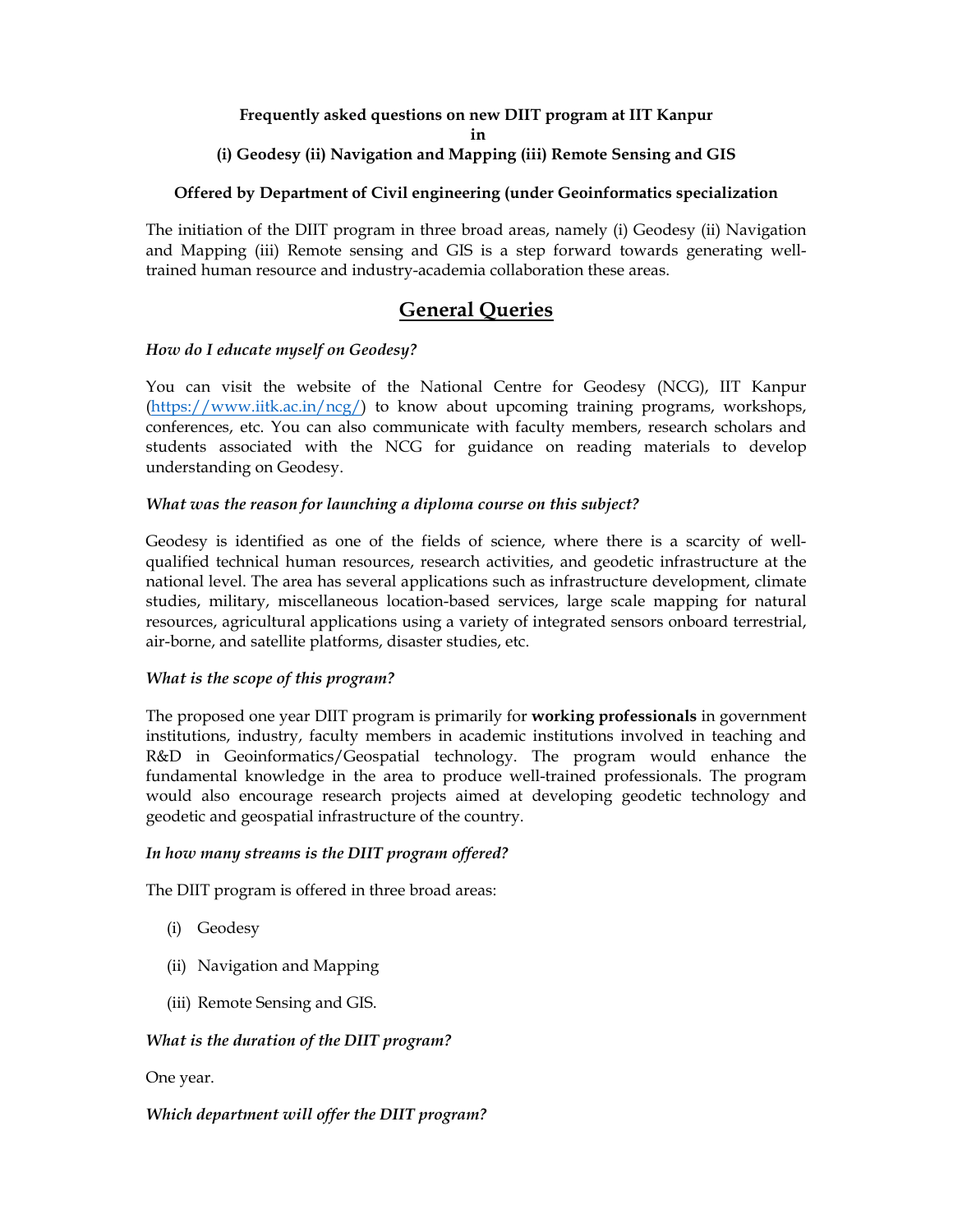#### **Frequently asked questions on new DIIT program at IIT Kanpur in**

### **(i) Geodesy (ii) Navigation and Mapping (iii) Remote Sensing and GIS**

#### **Offered by Department of Civil engineering (under Geoinformatics specialization**

The initiation of the DIIT program in three broad areas, namely (i) Geodesy (ii) Navigation and Mapping (iii) Remote sensing and GIS is a step forward towards generating welltrained human resource and industry-academia collaboration these areas.

## **General Queries**

#### *How do I educate myself on Geodesy?*

You can visit the website of the National Centre for Geodesy (NCG), IIT Kanpur (https://www.iitk.ac.in/ncg/) to know about upcoming training programs, workshops, conferences, etc. You can also communicate with faculty members, research scholars and students associated with the NCG for guidance on reading materials to develop understanding on Geodesy.

#### *What was the reason for launching a diploma course on this subject?*

Geodesy is identified as one of the fields of science, where there is a scarcity of wellqualified technical human resources, research activities, and geodetic infrastructure at the national level. The area has several applications such as infrastructure development, climate studies, military, miscellaneous location-based services, large scale mapping for natural resources, agricultural applications using a variety of integrated sensors onboard terrestrial, air-borne, and satellite platforms, disaster studies, etc.

#### *What is the scope of this program?*

The proposed one year DIIT program is primarily for **working professionals** in government institutions, industry, faculty members in academic institutions involved in teaching and R&D in Geoinformatics/Geospatial technology. The program would enhance the fundamental knowledge in the area to produce well-trained professionals. The program would also encourage research projects aimed at developing geodetic technology and geodetic and geospatial infrastructure of the country.

#### *In how many streams is the DIIT program offered?*

The DIIT program is offered in three broad areas:

- (i) Geodesy
- (ii) Navigation and Mapping
- (iii) Remote Sensing and GIS.

#### *What is the duration of the DIIT program?*

#### One year.

#### *Which department will offer the DIIT program?*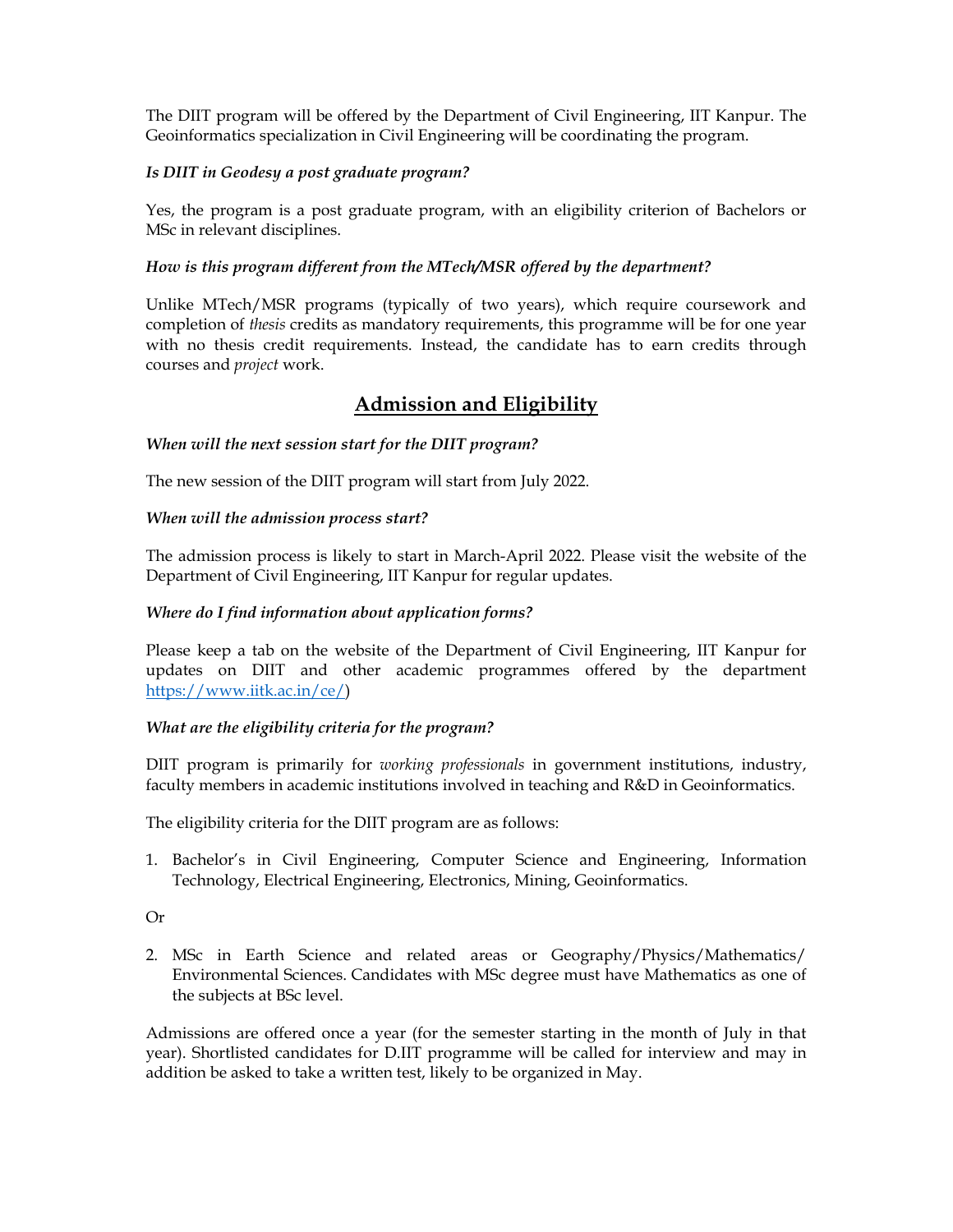The DIIT program will be offered by the Department of Civil Engineering, IIT Kanpur. The Geoinformatics specialization in Civil Engineering will be coordinating the program.

#### *Is DIIT in Geodesy a post graduate program?*

Yes, the program is a post graduate program, with an eligibility criterion of Bachelors or MSc in relevant disciplines.

#### *How is this program different from the MTech/MSR offered by the department?*

Unlike MTech/MSR programs (typically of two years), which require coursework and completion of *thesis* credits as mandatory requirements, this programme will be for one year with no thesis credit requirements. Instead, the candidate has to earn credits through courses and *project* work.

# **Admission and Eligibility**

#### *When will the next session start for the DIIT program?*

The new session of the DIIT program will start from July 2022.

#### *When will the admission process start?*

The admission process is likely to start in March-April 2022. Please visit the website of the Department of Civil Engineering, IIT Kanpur for regular updates.

#### *Where do I find information about application forms?*

Please keep a tab on the website of the Department of Civil Engineering, IIT Kanpur for updates on DIIT and other academic programmes offered by the department https://www.iitk.ac.in/ce/)

#### *What are the eligibility criteria for the program?*

DIIT program is primarily for *working professionals* in government institutions, industry, faculty members in academic institutions involved in teaching and R&D in Geoinformatics.

The eligibility criteria for the DIIT program are as follows:

1. Bachelor's in Civil Engineering, Computer Science and Engineering, Information Technology, Electrical Engineering, Electronics, Mining, Geoinformatics.

Or

2. MSc in Earth Science and related areas or Geography/Physics/Mathematics/ Environmental Sciences. Candidates with MSc degree must have Mathematics as one of the subjects at BSc level.

Admissions are offered once a year (for the semester starting in the month of July in that year). Shortlisted candidates for D.IIT programme will be called for interview and may in addition be asked to take a written test, likely to be organized in May.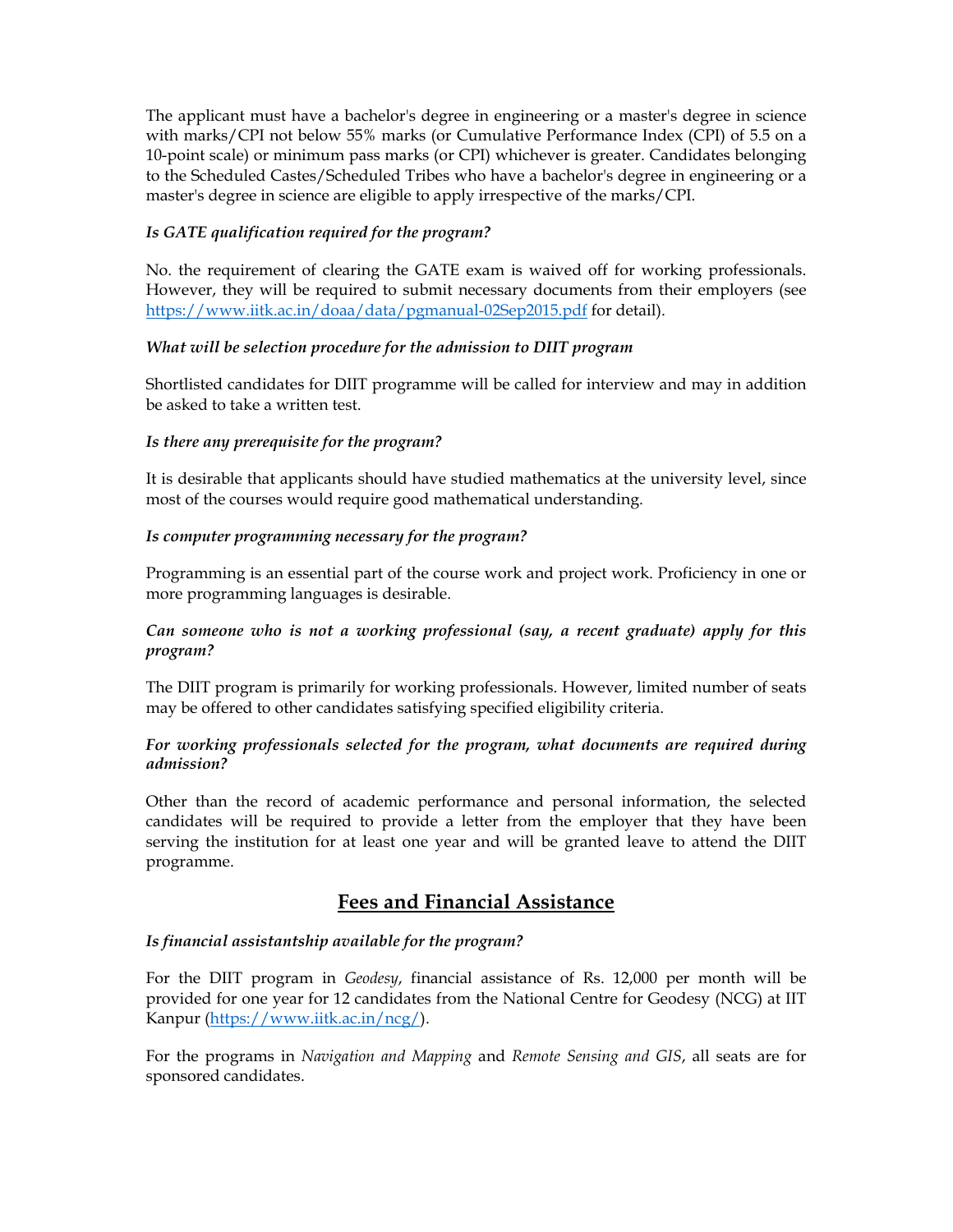The applicant must have a bachelor's degree in engineering or a master's degree in science with marks/CPI not below 55% marks (or Cumulative Performance Index (CPI) of 5.5 on a 10-point scale) or minimum pass marks (or CPI) whichever is greater. Candidates belonging to the Scheduled Castes/Scheduled Tribes who have a bachelor's degree in engineering or a master's degree in science are eligible to apply irrespective of the marks/CPI.

### *Is GATE qualification required for the program?*

No. the requirement of clearing the GATE exam is waived off for working professionals. However, they will be required to submit necessary documents from their employers (see https://www.iitk.ac.in/doaa/data/pgmanual-02Sep2015.pdf for detail).

#### *What will be selection procedure for the admission to DIIT program*

Shortlisted candidates for DIIT programme will be called for interview and may in addition be asked to take a written test.

#### *Is there any prerequisite for the program?*

It is desirable that applicants should have studied mathematics at the university level, since most of the courses would require good mathematical understanding.

#### *Is computer programming necessary for the program?*

Programming is an essential part of the course work and project work. Proficiency in one or more programming languages is desirable.

#### *Can someone who is not a working professional (say, a recent graduate) apply for this program?*

The DIIT program is primarily for working professionals. However, limited number of seats may be offered to other candidates satisfying specified eligibility criteria.

#### *For working professionals selected for the program, what documents are required during admission?*

Other than the record of academic performance and personal information, the selected candidates will be required to provide a letter from the employer that they have been serving the institution for at least one year and will be granted leave to attend the DIIT programme.

# **Fees and Financial Assistance**

#### *Is financial assistantship available for the program?*

For the DIIT program in *Geodesy*, financial assistance of Rs. 12,000 per month will be provided for one year for 12 candidates from the National Centre for Geodesy (NCG) at IIT Kanpur (https://www.iitk.ac.in/ncg/).

For the programs in *Navigation and Mapping* and *Remote Sensing and GIS*, all seats are for sponsored candidates.